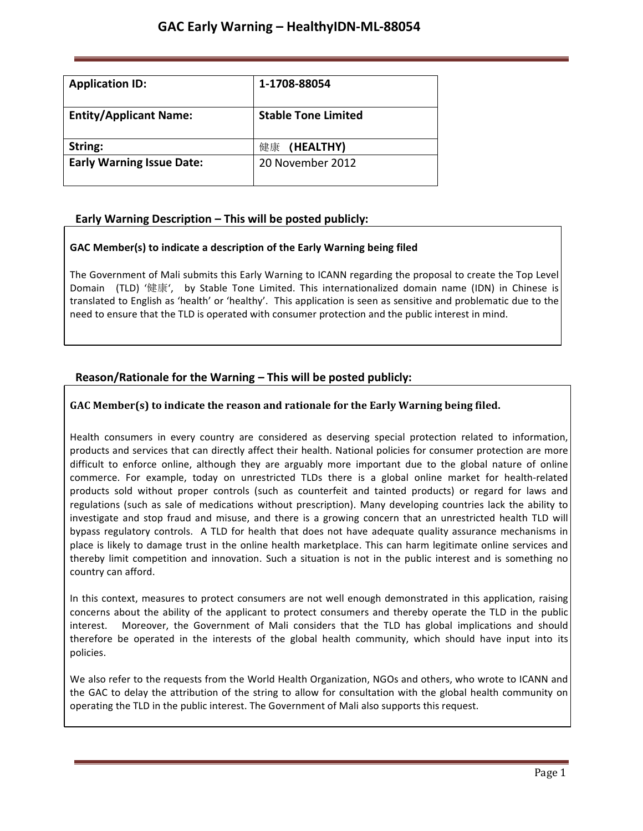| <b>Application ID:</b>           | 1-1708-88054               |
|----------------------------------|----------------------------|
| <b>Entity/Applicant Name:</b>    | <b>Stable Tone Limited</b> |
| String:                          | 健康 (HEALTHY)               |
| <b>Early Warning Issue Date:</b> | 20 November 2012           |

# **Early Warning Description – This will be posted publicly:**

## **GAC Member(s) to indicate a description of the Early Warning being filed**

The Government of Mali submits this Early Warning to ICANN regarding the proposal to create the Top Level Domain (TLD) '健康', by Stable Tone Limited. This internationalized domain name (IDN) in Chinese is translated to English as 'health' or 'healthy'. This application is seen as sensitive and problematic due to the need to ensure that the TLD is operated with consumer protection and the public interest in mind.

# **Reason/Rationale for the Warning – This will be posted publicly:**

## **GAC** Member(s) to indicate the reason and rationale for the Early Warning being filed.

Health consumers in every country are considered as deserving special protection related to information, products and services that can directly affect their health. National policies for consumer protection are more difficult to enforce online, although they are arguably more important due to the global nature of online commerce. For example, today on unrestricted TLDs there is a global online market for health-related products sold without proper controls (such as counterfeit and tainted products) or regard for laws and regulations (such as sale of medications without prescription). Many developing countries lack the ability to investigate and stop fraud and misuse, and there is a growing concern that an unrestricted health TLD will bypass regulatory controls. A TLD for health that does not have adequate quality assurance mechanisms in place is likely to damage trust in the online health marketplace. This can harm legitimate online services and thereby limit competition and innovation. Such a situation is not in the public interest and is something no country can afford.

In this context, measures to protect consumers are not well enough demonstrated in this application, raising concerns about the ability of the applicant to protect consumers and thereby operate the TLD in the public interest. Moreover, the Government of Mali considers that the TLD has global implications and should therefore be operated in the interests of the global health community, which should have input into its policies.

We also refer to the requests from the World Health Organization, NGOs and others, who wrote to ICANN and the GAC to delay the attribution of the string to allow for consultation with the global health community on operating the TLD in the public interest. The Government of Mali also supports this request.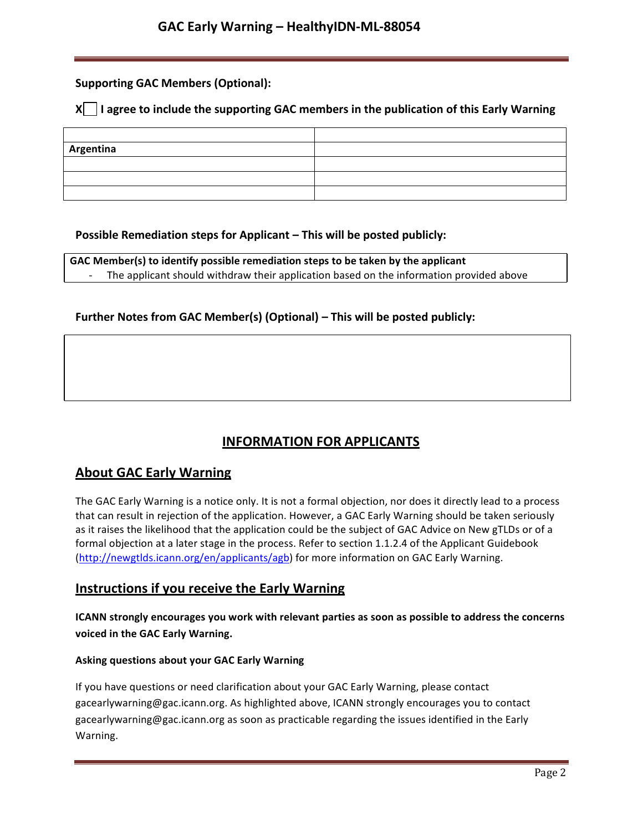## **Supporting GAC Members (Optional):**

## **X** | I agree to include the supporting GAC members in the publication of this Early Warning

| Argentina |  |
|-----------|--|
|           |  |
|           |  |
|           |  |

## **Possible Remediation steps for Applicant – This will be posted publicly:**

**GAC Member(s) to identify possible remediation steps to be taken by the applicant** The applicant should withdraw their application based on the information provided above

## **Further Notes from GAC Member(s) (Optional) – This will be posted publicly:**

# **INFORMATION FOR APPLICANTS**

# **About GAC Early Warning**

The GAC Early Warning is a notice only. It is not a formal objection, nor does it directly lead to a process that can result in rejection of the application. However, a GAC Early Warning should be taken seriously as it raises the likelihood that the application could be the subject of GAC Advice on New gTLDs or of a formal objection at a later stage in the process. Refer to section 1.1.2.4 of the Applicant Guidebook (http://newgtlds.icann.org/en/applicants/agb) for more information on GAC Early Warning.

## **Instructions if you receive the Early Warning**

**ICANN strongly encourages you work with relevant parties as soon as possible to address the concerns voiced in the GAC Early Warning.**

### **Asking questions about your GAC Early Warning**

If you have questions or need clarification about your GAC Early Warning, please contact gacearlywarning@gac.icann.org. As highlighted above, ICANN strongly encourages you to contact gacearlywarning@gac.icann.org as soon as practicable regarding the issues identified in the Early Warning.